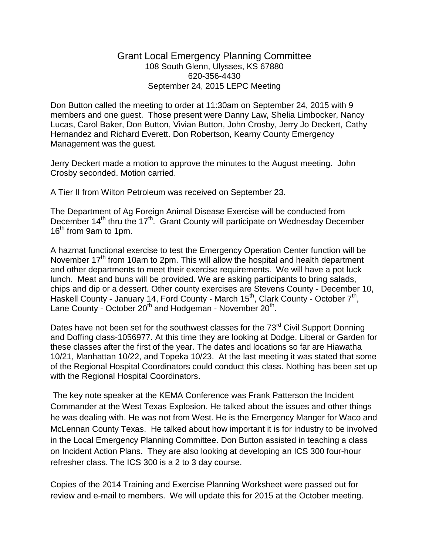## Grant Local Emergency Planning Committee 108 South Glenn, Ulysses, KS 67880 620-356-4430 September 24, 2015 LEPC Meeting

Don Button called the meeting to order at 11:30am on September 24, 2015 with 9 members and one guest. Those present were Danny Law, Shelia Limbocker, Nancy Lucas, Carol Baker, Don Button, Vivian Button, John Crosby, Jerry Jo Deckert, Cathy Hernandez and Richard Everett. Don Robertson, Kearny County Emergency Management was the guest.

Jerry Deckert made a motion to approve the minutes to the August meeting. John Crosby seconded. Motion carried.

A Tier II from Wilton Petroleum was received on September 23.

The Department of Ag Foreign Animal Disease Exercise will be conducted from December 14<sup>th</sup> thru the 17<sup>th</sup>. Grant County will participate on Wednesday December 16<sup>th</sup> from 9am to 1pm.

A hazmat functional exercise to test the Emergency Operation Center function will be November 17<sup>th</sup> from 10am to 2pm. This will allow the hospital and health department and other departments to meet their exercise requirements. We will have a pot luck lunch. Meat and buns will be provided. We are asking participants to bring salads, chips and dip or a dessert. Other county exercises are Stevens County - December 10, Haskell County - January 14, Ford County - March 15<sup>th</sup>, Clark County - October 7<sup>th</sup>, Lane County - October  $20<sup>th</sup>$  and Hodgeman - November  $20<sup>th</sup>$ .

Dates have not been set for the southwest classes for the 73<sup>rd</sup> Civil Support Donning and Doffing class-1056977. At this time they are looking at Dodge, Liberal or Garden for these classes after the first of the year. The dates and locations so far are Hiawatha 10/21, Manhattan 10/22, and Topeka 10/23. At the last meeting it was stated that some of the Regional Hospital Coordinators could conduct this class. Nothing has been set up with the Regional Hospital Coordinators.

The key note speaker at the KEMA Conference was Frank Patterson the Incident Commander at the West Texas Explosion. He talked about the issues and other things he was dealing with. He was not from West. He is the Emergency Manger for Waco and McLennan County Texas. He talked about how important it is for industry to be involved in the Local Emergency Planning Committee. Don Button assisted in teaching a class on Incident Action Plans. They are also looking at developing an ICS 300 four-hour refresher class. The ICS 300 is a 2 to 3 day course.

Copies of the 2014 Training and Exercise Planning Worksheet were passed out for review and e-mail to members. We will update this for 2015 at the October meeting.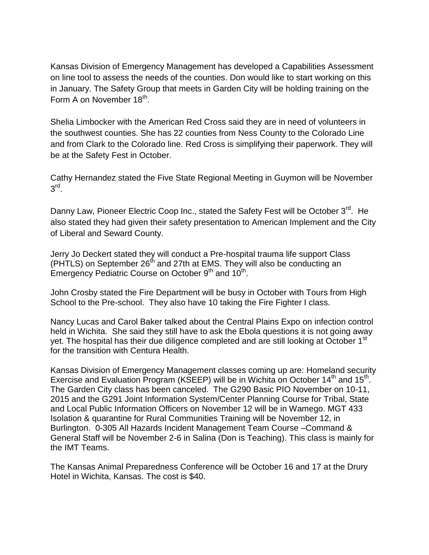Kansas Division of Emergency Management has developed a Capabilities Assessment on line tool to assess the needs of the counties. Don would like to start working on this in January. The Safety Group that meets in Garden City will be holding training on the Form A on November 18<sup>th</sup>.

Shelia Limbocker with the American Red Cross said they are in need of volunteers in the southwest counties. She has 22 counties from Ness County to the Colorado Line and from Clark to the Colorado line. Red Cross is simplifying their paperwork. They will be at the Safety Fest in October.

Cathy Hernandez stated the Five State Regional Meeting in Guymon will be November  $3^{\text{rd}}$ .

Danny Law, Pioneer Electric Coop Inc., stated the Safety Fest will be October 3<sup>rd</sup>. He also stated they had given their safety presentation to American Implement and the City of Liberal and Seward County.

Jerry Jo Deckert stated they will conduct a Pre-hospital trauma life support Class (PHTLS) on September 26th and 27th at EMS. They will also be conducting an Emergency Pediatric Course on October 9<sup>th</sup> and 10<sup>th</sup>.

John Crosby stated the Fire Department will be busy in October with Tours from High School to the Pre-school. They also have 10 taking the Fire Fighter I class.

Nancy Lucas and Carol Baker talked about the Central Plains Expo on infection control held in Wichita. She said they still have to ask the Ebola questions it is not going away yet. The hospital has their due diligence completed and are still looking at October 1<sup>st</sup> for the transition with Centura Health.

Kansas Division of Emergency Management classes coming up are: Homeland security Exercise and Evaluation Program (KSEEP) will be in Wichita on October 14<sup>th</sup> and 15<sup>th</sup>. The Garden City class has been canceled. The G290 Basic PIO November on 10-11, 2015 and the G291 Joint Information System/Center Planning Course for Tribal, State and Local Public Information Officers on November 12 will be in Wamego. MGT 433 Isolation & quarantine for Rural Communities Training will be November 12, in Burlington. 0-305 All Hazards Incident Management Team Course –Command & General Staff will be November 2-6 in Salina (Don is Teaching). This class is mainly for the IMT Teams.

The Kansas Animal Preparedness Conference will be October 16 and 17 at the Drury Hotel in Wichita, Kansas. The cost is \$40.